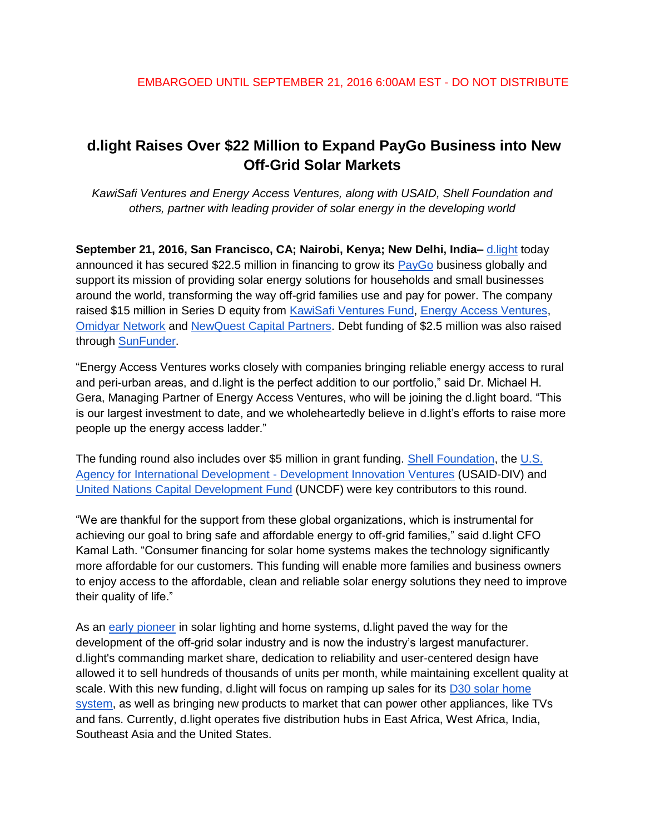# **d.light Raises Over \$22 Million to Expand PayGo Business into New Off-Grid Solar Markets**

*KawiSafi Ventures and Energy Access Ventures, along with USAID, Shell Foundation and others, partner with leading provider of solar energy in the developing world*

**September 21, 2016, San Francisco, CA; Nairobi, Kenya; New Delhi, India–** [d.light](http://www.dlight.com/) today announced it has secured \$22.5 million in financing to grow its [PayGo](http://www.dlight.com/files/9714/6719/4451/d.light_Pay-As-You-Go_Expansion_Press_Release.pdf) business globally and support its mission of providing solar energy solutions for households and small businesses around the world, transforming the way off-grid families use and pay for power. The company raised \$15 million in Series D equity fro[m](http://www.greenclimate.fund/-/kawisawi-ventures-fund-in-east-africa?inheritRedirect=true&redirect=%2Fventures%2Fportfolio) [KawiSafi Ventures Fund](http://www.greenclimate.fund/-/kawisawi-ventures-fund-in-east-africa?inheritRedirect=true&redirect=%2Fventures%2Fportfolio)[,](http://www.eavafrica.com/) [Energy Access Ventures](http://www.eavafrica.com/)[,](https://www.omidyar.com/) [Omidyar Network](https://www.omidyar.com/) and [NewQuest Capital Partners.](http://www.nqcap.com/) Debt funding of \$2.5 million was also raised through [SunFunder.](http://sunfunder.com/)

"Energy Access Ventures works closely with companies bringing reliable energy access to rural and peri-urban areas, and d.light is the perfect addition to our portfolio," said Dr. Michael H. Gera, Managing Partner of Energy Access Ventures, who will be joining the d.light board. "This is our largest investment to date, and we wholeheartedly believe in d.light's efforts to raise more people up the energy access ladder."

The funding round also includes over \$5 million in grant funding. [Shell Foundation,](http://www.shellfoundation.org/) the [U.S.](https://www.usaid.gov/div)  [Agency for International Development -](https://www.usaid.gov/div) Development Innovation Ventures (USAID-DIV) and [United Nations Capital Development Fund](http://www.uncdf.org/) (UNCDF) were key contributors to this round.

"We are thankful for the support from these global organizations, which is instrumental for achieving our goal to bring safe and affordable energy to off-grid families," said d.light CFO Kamal Lath. "Consumer financing for solar home systems makes the technology significantly more affordable for our customers. This funding will enable more families and business owners to enjoy access to the affordable, clean and reliable solar energy solutions they need to improve their quality of life."

As an [early pioneer](http://www.dlight.com/blog/founding-story/) in solar lighting and home systems, d.light paved the way for the development of the off-grid solar industry and is now the industry's largest manufacturer. d.light's commanding market share, dedication to reliability and user-centered design have allowed it to sell hundreds of thousands of units per month, while maintaining excellent quality at scale. With this new funding, d.light will focus on ramping up sales for its D30 solar home [system,](http://www.dlight.com/solar-lighting-products/power-system/dlight-d30/) as well as bringing new products to market that can power other appliances, like TVs and fans. Currently, d.light operates five distribution hubs in East Africa, West Africa, India, Southeast Asia and the United States.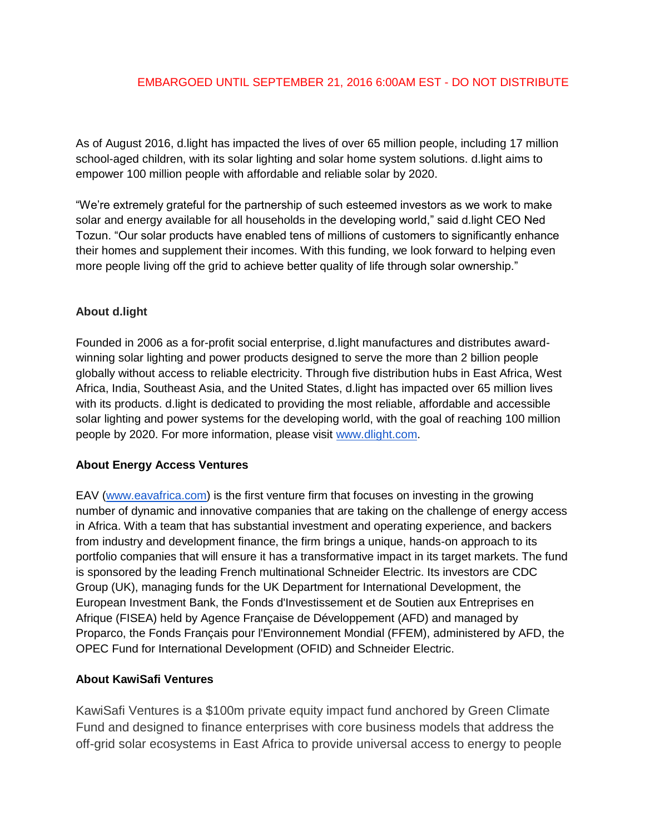#### EMBARGOED UNTIL SEPTEMBER 21, 2016 6:00AM EST - DO NOT DISTRIBUTE

As of August 2016, d.light has impacted the lives of over 65 million people, including 17 million school-aged children, with its solar lighting and solar home system solutions. d.light aims to empower 100 million people with affordable and reliable solar by 2020.

"We're extremely grateful for the partnership of such esteemed investors as we work to make solar and energy available for all households in the developing world," said d.light CEO Ned Tozun. "Our solar products have enabled tens of millions of customers to significantly enhance their homes and supplement their incomes. With this funding, we look forward to helping even more people living off the grid to achieve better quality of life through solar ownership."

## **About d.light**

Founded in 2006 as a for-profit social enterprise, d.light manufactures and distributes awardwinning solar lighting and power products designed to serve the more than 2 billion people globally without access to reliable electricity. Through five distribution hubs in East Africa, West Africa, India, Southeast Asia, and the United States, d.light has impacted over 65 million lives with its products. d.light is dedicated to providing the most reliable, affordable and accessible solar lighting and power systems for the developing world, with the goal of reaching 100 million people by 2020. For more information, please visi[t](http://www.dlight.com/) [www.dlight.com.](http://www.dlight.com/)

#### **About Energy Access Ventures**

EAV [\(www.eavafrica.com\)](http://www.eavafrica.com/) is the first venture firm that focuses on investing in the growing number of dynamic and innovative companies that are taking on the challenge of energy access in Africa. With a team that has substantial investment and operating experience, and backers from industry and development finance, the firm brings a unique, hands-on approach to its portfolio companies that will ensure it has a transformative impact in its target markets. The fund is sponsored by the leading French multinational Schneider Electric. Its investors are CDC Group (UK), managing funds for the UK Department for International Development, the European Investment Bank, the Fonds d'Investissement et de Soutien aux Entreprises en Afrique (FISEA) held by Agence Française de Développement (AFD) and managed by Proparco, the Fonds Français pour l'Environnement Mondial (FFEM), administered by AFD, the OPEC Fund for International Development (OFID) and Schneider Electric.

#### **About KawiSafi Ventures**

KawiSafi Ventures is a \$100m private equity impact fund anchored by Green Climate Fund and designed to finance enterprises with core business models that address the off-grid solar ecosystems in East Africa to provide universal access to energy to people